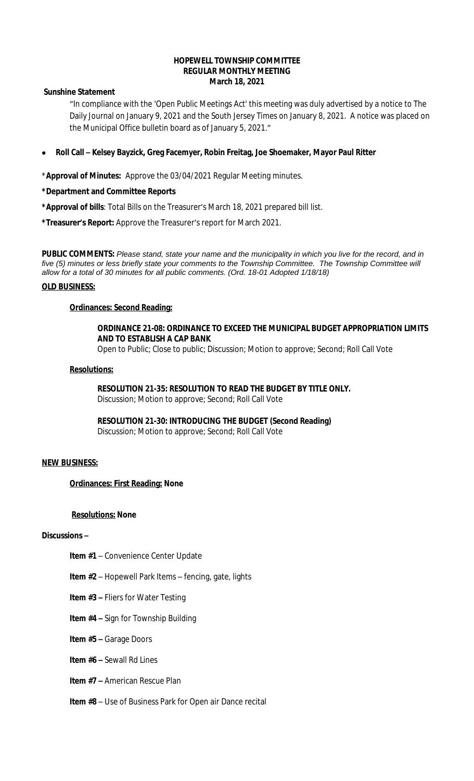### **HOPEWELL TOWNSHIP COMMITTEE REGULAR MONTHLY MEETING March 18, 2021**

**Sunshine Statement**

"In compliance with the 'Open Public Meetings Act' this meeting was duly advertised by a notice to The Daily Journal on January 9, 2021 and the South Jersey Times on January 8, 2021. A notice was placed on the Municipal Office bulletin board as of January 5, 2021."

**Roll Call – Kelsey Bayzick, Greg Facemyer, Robin Freitag, Joe Shoemaker, Mayor Paul Ritter**

\***Approval of Minutes:** Approve the 03/04/2021 Regular Meeting minutes.

**\*Department and Committee Reports**

**\*Approval of bills**: Total Bills on the Treasurer's March 18, 2021 prepared bill list.

**\*Treasurer's Report:** Approve the Treasurer's report for March 2021.

**PUBLIC COMMENTS:** *Please stand, state your name and the municipality in which you live for the record, and in five (5) minutes or less briefly state your comments to the Township Committee. The Township Committee will allow for a total of 30 minutes for all public comments. (Ord. 18-01 Adopted 1/18/18)*

### **OLD BUSINESS:**

### **Ordinances: Second Reading:**

## **ORDINANCE 21-08: ORDINANCE TO EXCEED THE MUNICIPAL BUDGET APPROPRIATION LIMITS AND TO ESTABLISH A CAP BANK**

Open to Public; Close to public; Discussion; Motion to approve; Second; Roll Call Vote

#### **Resolutions:**

**RESOLUTION 21-35: RESOLUTION TO READ THE BUDGET BY TITLE ONLY.**

Discussion; Motion to approve; Second; Roll Call Vote

**RESOLUTION 21-30: INTRODUCING THE BUDGET (Second Reading)** Discussion; Motion to approve; Second; Roll Call Vote

### **NEW BUSINESS:**

### **Ordinances: First Reading: None**

### **Resolutions: None**

# **Discussions –**

- **Item #1** Convenience Center Update
- **Item #2** Hopewell Park Items fencing, gate, lights
- **Item #3 –** Fliers for Water Testing
- **Item #4 –** Sign for Township Building
- **Item #5 –** Garage Doors
- **Item #6 –** Sewall Rd Lines
- **Item #7 –** American Rescue Plan
- **Item #8** Use of Business Park for Open air Dance recital